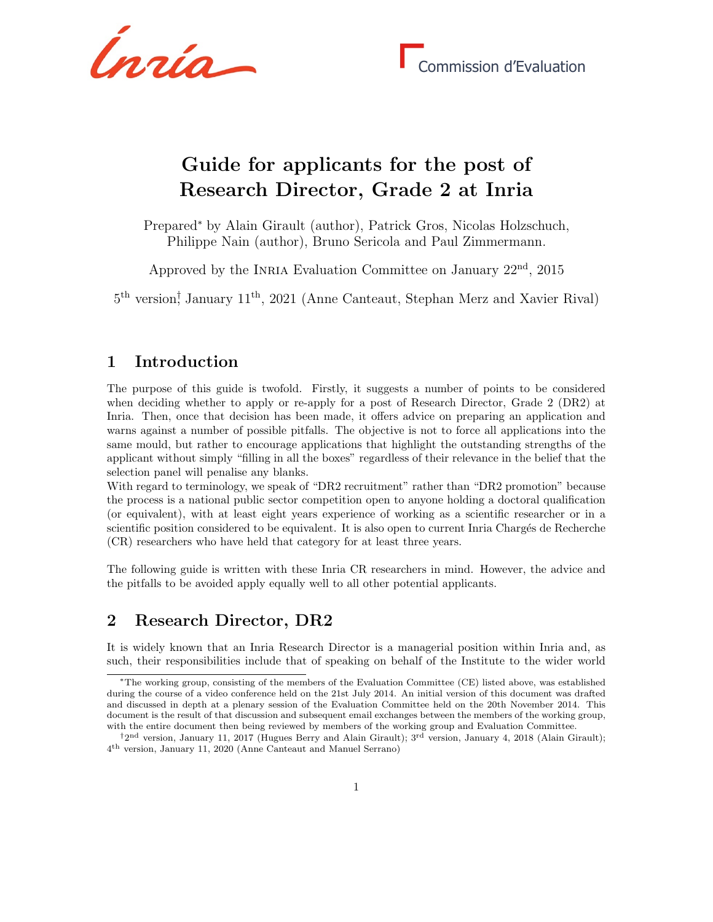Ínría

# Guide for applicants for the post of Research Director, Grade 2 at Inria

Prepared<sup>∗</sup> by Alain Girault (author), Patrick Gros, Nicolas Holzschuch, Philippe Nain (author), Bruno Sericola and Paul Zimmermann.

Approved by the INRIA Evaluation Committee on January  $22<sup>nd</sup>$ ,  $2015$ 

5 th version† , January 11th, 2021 (Anne Canteaut, Stephan Merz and Xavier Rival)

## 1 Introduction

The purpose of this guide is twofold. Firstly, it suggests a number of points to be considered when deciding whether to apply or re-apply for a post of Research Director, Grade 2 (DR2) at Inria. Then, once that decision has been made, it offers advice on preparing an application and warns against a number of possible pitfalls. The objective is not to force all applications into the same mould, but rather to encourage applications that highlight the outstanding strengths of the applicant without simply "filling in all the boxes" regardless of their relevance in the belief that the selection panel will penalise any blanks.

With regard to terminology, we speak of "DR2 recruitment" rather than "DR2 promotion" because the process is a national public sector competition open to anyone holding a doctoral qualification (or equivalent), with at least eight years experience of working as a scientific researcher or in a scientific position considered to be equivalent. It is also open to current Inria Chargés de Recherche (CR) researchers who have held that category for at least three years.

The following guide is written with these Inria CR researchers in mind. However, the advice and the pitfalls to be avoided apply equally well to all other potential applicants.

### 2 Research Director, DR2

It is widely known that an Inria Research Director is a managerial position within Inria and, as such, their responsibilities include that of speaking on behalf of the Institute to the wider world

<sup>∗</sup>The working group, consisting of the members of the Evaluation Committee (CE) listed above, was established during the course of a video conference held on the 21st July 2014. An initial version of this document was drafted and discussed in depth at a plenary session of the Evaluation Committee held on the 20th November 2014. This document is the result of that discussion and subsequent email exchanges between the members of the working group, with the entire document then being reviewed by members of the working group and Evaluation Committee.

<sup>&</sup>lt;sup>†</sup>2<sup>nd</sup> version, January 11, 2017 (Hugues Berry and Alain Girault); <sup>3rd</sup> version, January 4, 2018 (Alain Girault); 4 th version, January 11, 2020 (Anne Canteaut and Manuel Serrano)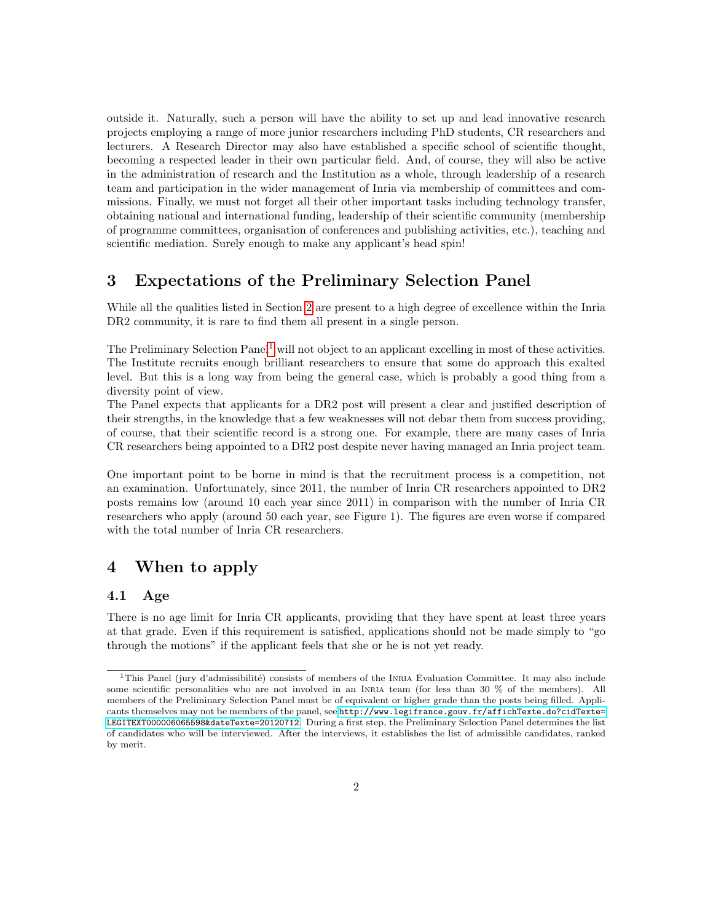outside it. Naturally, such a person will have the ability to set up and lead innovative research projects employing a range of more junior researchers including PhD students, CR researchers and lecturers. A Research Director may also have established a specific school of scientific thought, becoming a respected leader in their own particular field. And, of course, they will also be active in the administration of research and the Institution as a whole, through leadership of a research team and participation in the wider management of Inria via membership of committees and commissions. Finally, we must not forget all their other important tasks including technology transfer, obtaining national and international funding, leadership of their scientific community (membership of programme committees, organisation of conferences and publishing activities, etc.), teaching and scientific mediation. Surely enough to make any applicant's head spin!

### 3 Expectations of the Preliminary Selection Panel

While all the qualities listed in Section [2](#page--1-0) are present to a high degree of excellence within the Inria DR2 community, it is rare to find them all present in a single person.

The Preliminary Selection Panel<sup>[1](#page-1-0)</sup> will not object to an applicant excelling in most of these activities. The Institute recruits enough brilliant researchers to ensure that some do approach this exalted level. But this is a long way from being the general case, which is probably a good thing from a diversity point of view.

The Panel expects that applicants for a DR2 post will present a clear and justified description of their strengths, in the knowledge that a few weaknesses will not debar them from success providing, of course, that their scientific record is a strong one. For example, there are many cases of Inria CR researchers being appointed to a DR2 post despite never having managed an Inria project team.

One important point to be borne in mind is that the recruitment process is a competition, not an examination. Unfortunately, since 2011, the number of Inria CR researchers appointed to DR2 posts remains low (around 10 each year since 2011) in comparison with the number of Inria CR researchers who apply (around 50 each year, see Figure 1). The figures are even worse if compared with the total number of Inria CR researchers.

# 4 When to apply

#### 4.1 Age

There is no age limit for Inria CR applicants, providing that they have spent at least three years at that grade. Even if this requirement is satisfied, applications should not be made simply to "go through the motions" if the applicant feels that she or he is not yet ready.

<span id="page-1-0"></span><sup>&</sup>lt;sup>1</sup>This Panel (jury d'admissibilité) consists of members of the INRIA Evaluation Committee. It may also include some scientific personalities who are not involved in an INRIA team (for less than 30 % of the members). All members of the Preliminary Selection Panel must be of equivalent or higher grade than the posts being filled. Applicants themselves may not be members of the panel, see [http://www.legifrance.gouv.fr/affichTexte.do?cidTexte=](http://www.legifrance.gouv.fr/affichTexte.do?cidTexte=LEGITEXT000006065598&dateTexte=20120712) [LEGITEXT000006065598&dateTexte=20120712](http://www.legifrance.gouv.fr/affichTexte.do?cidTexte=LEGITEXT000006065598&dateTexte=20120712). During a first step, the Preliminary Selection Panel determines the list of candidates who will be interviewed. After the interviews, it establishes the list of admissible candidates, ranked by merit.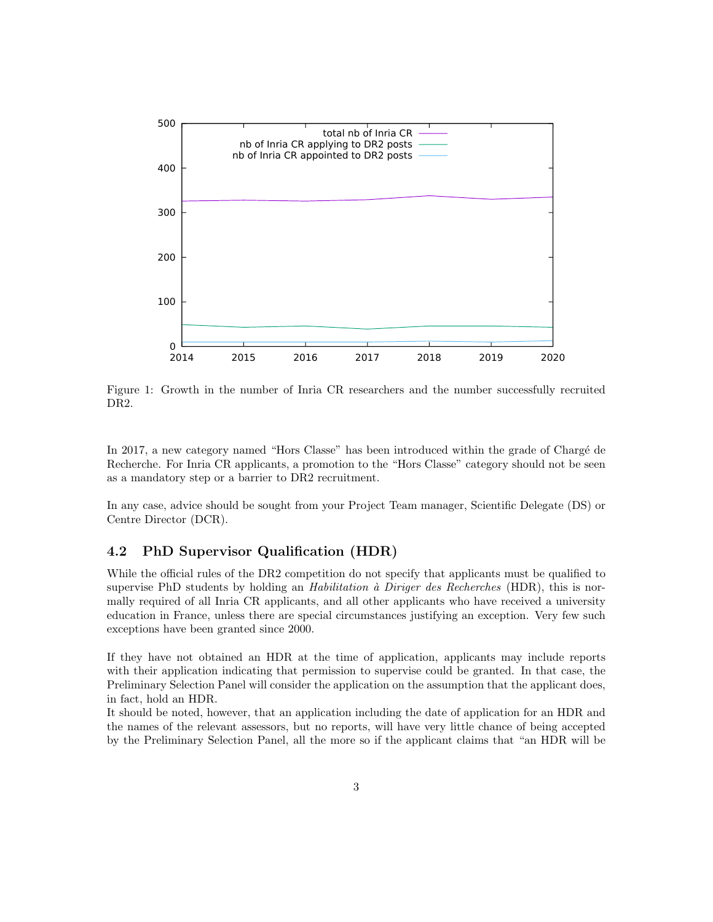

Figure 1: Growth in the number of Inria CR researchers and the number successfully recruited DR2.

In 2017, a new category named "Hors Classe" has been introduced within the grade of Chargé de Recherche. For Inria CR applicants, a promotion to the "Hors Classe" category should not be seen as a mandatory step or a barrier to DR2 recruitment.

In any case, advice should be sought from your Project Team manager, Scientific Delegate (DS) or Centre Director (DCR).

#### 4.2 PhD Supervisor Qualification (HDR)

While the official rules of the DR2 competition do not specify that applicants must be qualified to supervise PhD students by holding an *Habilitation à Diriger des Recherches* (HDR), this is normally required of all Inria CR applicants, and all other applicants who have received a university education in France, unless there are special circumstances justifying an exception. Very few such exceptions have been granted since 2000.

If they have not obtained an HDR at the time of application, applicants may include reports with their application indicating that permission to supervise could be granted. In that case, the Preliminary Selection Panel will consider the application on the assumption that the applicant does, in fact, hold an HDR.

It should be noted, however, that an application including the date of application for an HDR and the names of the relevant assessors, but no reports, will have very little chance of being accepted by the Preliminary Selection Panel, all the more so if the applicant claims that "an HDR will be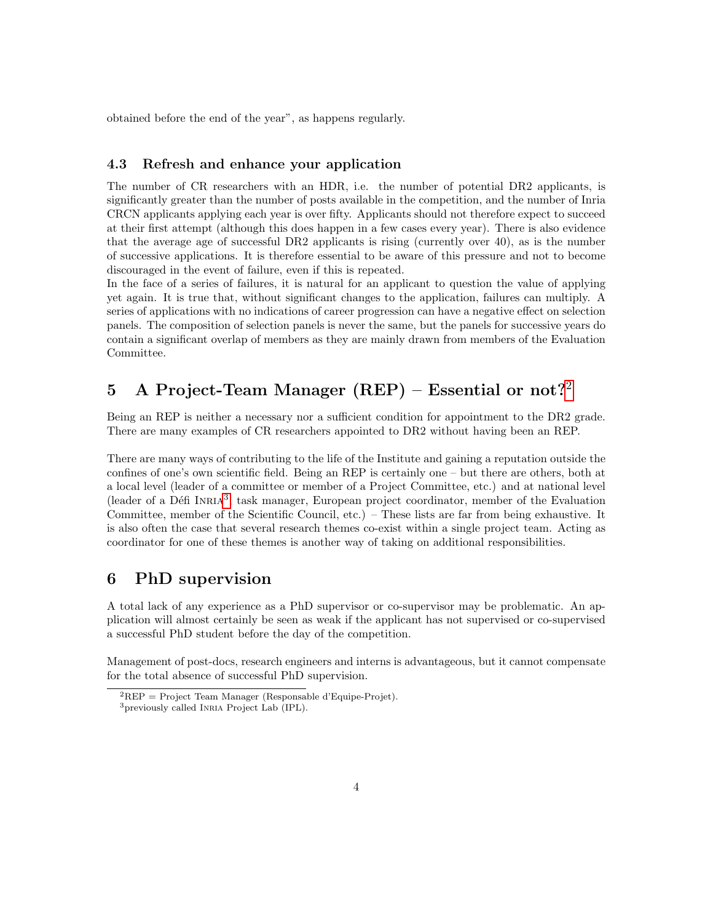obtained before the end of the year", as happens regularly.

#### 4.3 Refresh and enhance your application

The number of CR researchers with an HDR, i.e. the number of potential DR2 applicants, is significantly greater than the number of posts available in the competition, and the number of Inria CRCN applicants applying each year is over fifty. Applicants should not therefore expect to succeed at their first attempt (although this does happen in a few cases every year). There is also evidence that the average age of successful DR2 applicants is rising (currently over 40), as is the number of successive applications. It is therefore essential to be aware of this pressure and not to become discouraged in the event of failure, even if this is repeated.

In the face of a series of failures, it is natural for an applicant to question the value of applying yet again. It is true that, without significant changes to the application, failures can multiply. A series of applications with no indications of career progression can have a negative effect on selection panels. The composition of selection panels is never the same, but the panels for successive years do contain a significant overlap of members as they are mainly drawn from members of the Evaluation Committee.

# 5 A Project-Team Manager  $(REP)$  – Essential or not?<sup>[2](#page-3-0)</sup>

Being an REP is neither a necessary nor a sufficient condition for appointment to the DR2 grade. There are many examples of CR researchers appointed to DR2 without having been an REP.

There are many ways of contributing to the life of the Institute and gaining a reputation outside the confines of one's own scientific field. Being an REP is certainly one – but there are others, both at a local level (leader of a committee or member of a Project Committee, etc.) and at national level (leader of a Défi INRIA<sup>[3](#page-3-1)</sup>, task manager, European project coordinator, member of the Evaluation Committee, member of the Scientific Council, etc.) – These lists are far from being exhaustive. It is also often the case that several research themes co-exist within a single project team. Acting as coordinator for one of these themes is another way of taking on additional responsibilities.

### 6 PhD supervision

A total lack of any experience as a PhD supervisor or co-supervisor may be problematic. An application will almost certainly be seen as weak if the applicant has not supervised or co-supervised a successful PhD student before the day of the competition.

Management of post-docs, research engineers and interns is advantageous, but it cannot compensate for the total absence of successful PhD supervision.

<span id="page-3-0"></span><sup>2</sup>REP = Project Team Manager (Responsable d'Equipe-Projet).

<span id="page-3-1"></span><sup>3</sup>previously called Inria Project Lab (IPL).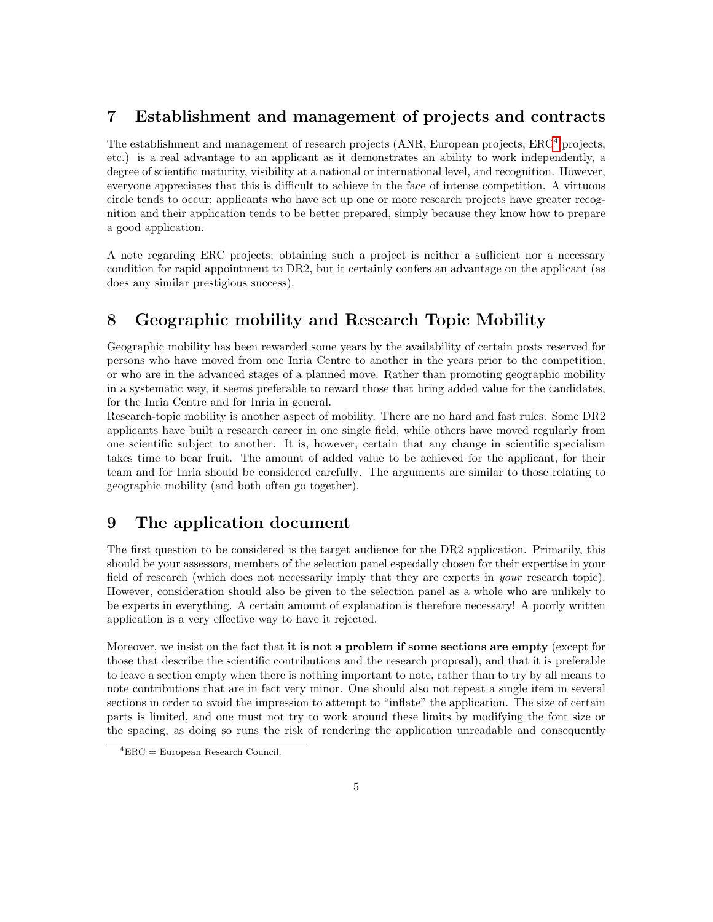# 7 Establishment and management of projects and contracts

The establishment and management of research projects (ANR, European projects, ERC[4](#page-4-0) projects, etc.) is a real advantage to an applicant as it demonstrates an ability to work independently, a degree of scientific maturity, visibility at a national or international level, and recognition. However, everyone appreciates that this is difficult to achieve in the face of intense competition. A virtuous circle tends to occur; applicants who have set up one or more research projects have greater recognition and their application tends to be better prepared, simply because they know how to prepare a good application.

A note regarding ERC projects; obtaining such a project is neither a sufficient nor a necessary condition for rapid appointment to DR2, but it certainly confers an advantage on the applicant (as does any similar prestigious success).

# 8 Geographic mobility and Research Topic Mobility

Geographic mobility has been rewarded some years by the availability of certain posts reserved for persons who have moved from one Inria Centre to another in the years prior to the competition, or who are in the advanced stages of a planned move. Rather than promoting geographic mobility in a systematic way, it seems preferable to reward those that bring added value for the candidates, for the Inria Centre and for Inria in general.

Research-topic mobility is another aspect of mobility. There are no hard and fast rules. Some DR2 applicants have built a research career in one single field, while others have moved regularly from one scientific subject to another. It is, however, certain that any change in scientific specialism takes time to bear fruit. The amount of added value to be achieved for the applicant, for their team and for Inria should be considered carefully. The arguments are similar to those relating to geographic mobility (and both often go together).

### 9 The application document

The first question to be considered is the target audience for the DR2 application. Primarily, this should be your assessors, members of the selection panel especially chosen for their expertise in your field of research (which does not necessarily imply that they are experts in your research topic). However, consideration should also be given to the selection panel as a whole who are unlikely to be experts in everything. A certain amount of explanation is therefore necessary! A poorly written application is a very effective way to have it rejected.

Moreover, we insist on the fact that it is not a problem if some sections are empty (except for those that describe the scientific contributions and the research proposal), and that it is preferable to leave a section empty when there is nothing important to note, rather than to try by all means to note contributions that are in fact very minor. One should also not repeat a single item in several sections in order to avoid the impression to attempt to "inflate" the application. The size of certain parts is limited, and one must not try to work around these limits by modifying the font size or the spacing, as doing so runs the risk of rendering the application unreadable and consequently

<span id="page-4-0"></span> ${}^{4}$ ERC = European Research Council.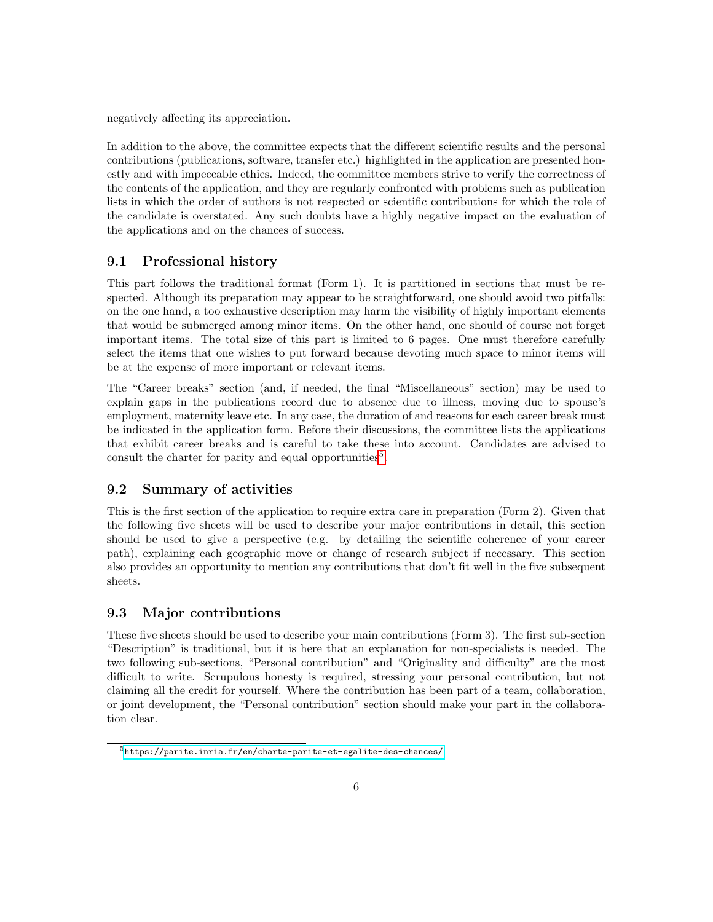negatively affecting its appreciation.

In addition to the above, the committee expects that the different scientific results and the personal contributions (publications, software, transfer etc.) highlighted in the application are presented honestly and with impeccable ethics. Indeed, the committee members strive to verify the correctness of the contents of the application, and they are regularly confronted with problems such as publication lists in which the order of authors is not respected or scientific contributions for which the role of the candidate is overstated. Any such doubts have a highly negative impact on the evaluation of the applications and on the chances of success.

#### 9.1 Professional history

This part follows the traditional format (Form 1). It is partitioned in sections that must be respected. Although its preparation may appear to be straightforward, one should avoid two pitfalls: on the one hand, a too exhaustive description may harm the visibility of highly important elements that would be submerged among minor items. On the other hand, one should of course not forget important items. The total size of this part is limited to 6 pages. One must therefore carefully select the items that one wishes to put forward because devoting much space to minor items will be at the expense of more important or relevant items.

The "Career breaks" section (and, if needed, the final "Miscellaneous" section) may be used to explain gaps in the publications record due to absence due to illness, moving due to spouse's employment, maternity leave etc. In any case, the duration of and reasons for each career break must be indicated in the application form. Before their discussions, the committee lists the applications that exhibit career breaks and is careful to take these into account. Candidates are advised to consult the charter for parity and equal opportunities<sup>[5](#page-5-0)</sup>.

#### 9.2 Summary of activities

This is the first section of the application to require extra care in preparation (Form 2). Given that the following five sheets will be used to describe your major contributions in detail, this section should be used to give a perspective (e.g. by detailing the scientific coherence of your career path), explaining each geographic move or change of research subject if necessary. This section also provides an opportunity to mention any contributions that don't fit well in the five subsequent sheets.

#### 9.3 Major contributions

These five sheets should be used to describe your main contributions (Form 3). The first sub-section "Description" is traditional, but it is here that an explanation for non-specialists is needed. The two following sub-sections, "Personal contribution" and "Originality and difficulty" are the most difficult to write. Scrupulous honesty is required, stressing your personal contribution, but not claiming all the credit for yourself. Where the contribution has been part of a team, collaboration, or joint development, the "Personal contribution" section should make your part in the collaboration clear.

<span id="page-5-0"></span> ${\rm ^5}$ <https://parite.inria.fr/en/charte-parite-et-egalite-des-chances/>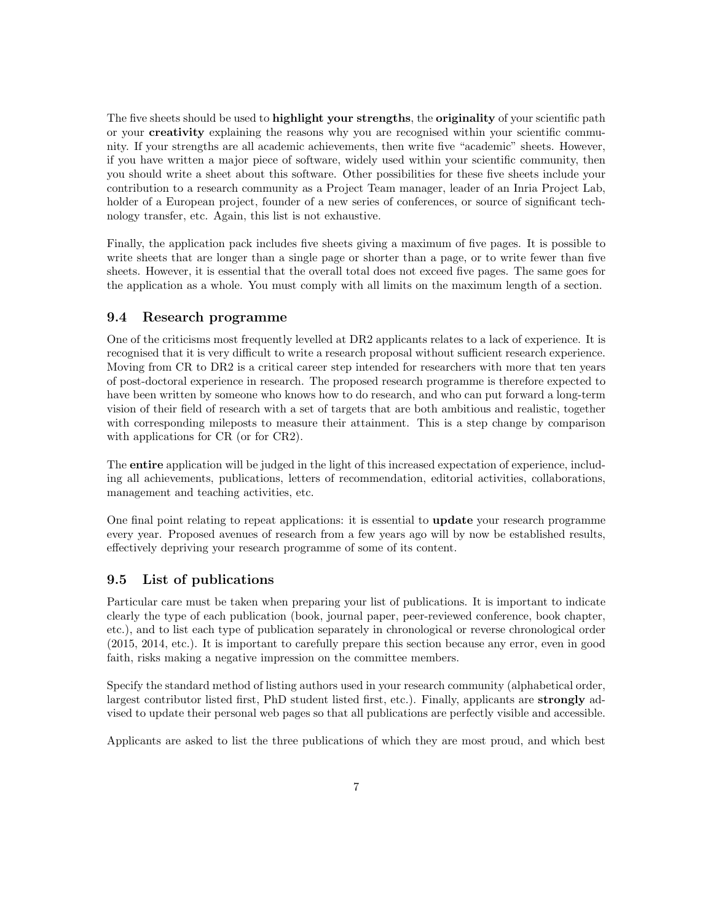The five sheets should be used to **highlight your strengths**, the **originality** of your scientific path or your creativity explaining the reasons why you are recognised within your scientific community. If your strengths are all academic achievements, then write five "academic" sheets. However, if you have written a major piece of software, widely used within your scientific community, then you should write a sheet about this software. Other possibilities for these five sheets include your contribution to a research community as a Project Team manager, leader of an Inria Project Lab, holder of a European project, founder of a new series of conferences, or source of significant technology transfer, etc. Again, this list is not exhaustive.

Finally, the application pack includes five sheets giving a maximum of five pages. It is possible to write sheets that are longer than a single page or shorter than a page, or to write fewer than five sheets. However, it is essential that the overall total does not exceed five pages. The same goes for the application as a whole. You must comply with all limits on the maximum length of a section.

#### 9.4 Research programme

One of the criticisms most frequently levelled at DR2 applicants relates to a lack of experience. It is recognised that it is very difficult to write a research proposal without sufficient research experience. Moving from CR to DR2 is a critical career step intended for researchers with more that ten years of post-doctoral experience in research. The proposed research programme is therefore expected to have been written by someone who knows how to do research, and who can put forward a long-term vision of their field of research with a set of targets that are both ambitious and realistic, together with corresponding mileposts to measure their attainment. This is a step change by comparison with applications for CR (or for CR2).

The entire application will be judged in the light of this increased expectation of experience, including all achievements, publications, letters of recommendation, editorial activities, collaborations, management and teaching activities, etc.

One final point relating to repeat applications: it is essential to update your research programme every year. Proposed avenues of research from a few years ago will by now be established results, effectively depriving your research programme of some of its content.

#### 9.5 List of publications

Particular care must be taken when preparing your list of publications. It is important to indicate clearly the type of each publication (book, journal paper, peer-reviewed conference, book chapter, etc.), and to list each type of publication separately in chronological or reverse chronological order (2015, 2014, etc.). It is important to carefully prepare this section because any error, even in good faith, risks making a negative impression on the committee members.

Specify the standard method of listing authors used in your research community (alphabetical order, largest contributor listed first, PhD student listed first, etc.). Finally, applicants are strongly advised to update their personal web pages so that all publications are perfectly visible and accessible.

Applicants are asked to list the three publications of which they are most proud, and which best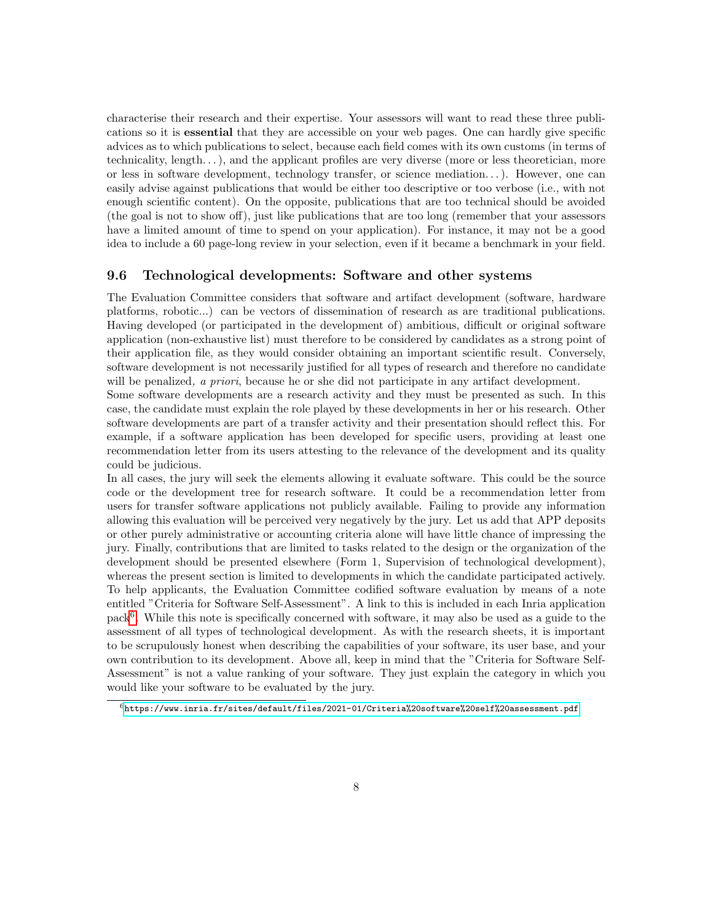characterise their research and their expertise. Your assessors will want to read these three publications so it is essential that they are accessible on your web pages. One can hardly give specific advices as to which publications to select, because each field comes with its own customs (in terms of technicality, length. . . ), and the applicant profiles are very diverse (more or less theoretician, more or less in software development, technology transfer, or science mediation. . . ). However, one can easily advise against publications that would be either too descriptive or too verbose (i.e., with not enough scientific content). On the opposite, publications that are too technical should be avoided (the goal is not to show off), just like publications that are too long (remember that your assessors have a limited amount of time to spend on your application). For instance, it may not be a good idea to include a 60 page-long review in your selection, even if it became a benchmark in your field.

#### 9.6 Technological developments: Software and other systems

The Evaluation Committee considers that software and artifact development (software, hardware platforms, robotic...) can be vectors of dissemination of research as are traditional publications. Having developed (or participated in the development of) ambitious, difficult or original software application (non-exhaustive list) must therefore to be considered by candidates as a strong point of their application file, as they would consider obtaining an important scientific result. Conversely, software development is not necessarily justified for all types of research and therefore no candidate will be penalized, a priori, because he or she did not participate in any artifact development.

Some software developments are a research activity and they must be presented as such. In this case, the candidate must explain the role played by these developments in her or his research. Other software developments are part of a transfer activity and their presentation should reflect this. For example, if a software application has been developed for specific users, providing at least one recommendation letter from its users attesting to the relevance of the development and its quality could be judicious.

In all cases, the jury will seek the elements allowing it evaluate software. This could be the source code or the development tree for research software. It could be a recommendation letter from users for transfer software applications not publicly available. Failing to provide any information allowing this evaluation will be perceived very negatively by the jury. Let us add that APP deposits or other purely administrative or accounting criteria alone will have little chance of impressing the jury. Finally, contributions that are limited to tasks related to the design or the organization of the development should be presented elsewhere (Form 1, Supervision of technological development), whereas the present section is limited to developments in which the candidate participated actively. To help applicants, the Evaluation Committee codified software evaluation by means of a note entitled "Criteria for Software Self-Assessment". A link to this is included in each Inria application pack<sup>[6](#page-7-0)</sup>. While this note is specifically concerned with software, it may also be used as a guide to the assessment of all types of technological development. As with the research sheets, it is important to be scrupulously honest when describing the capabilities of your software, its user base, and your own contribution to its development. Above all, keep in mind that the "Criteria for Software Self-Assessment" is not a value ranking of your software. They just explain the category in which you would like your software to be evaluated by the jury.

<span id="page-7-0"></span> $^6$ <https://www.inria.fr/sites/default/files/2021-01/Criteria%20software%20self%20assessment.pdf>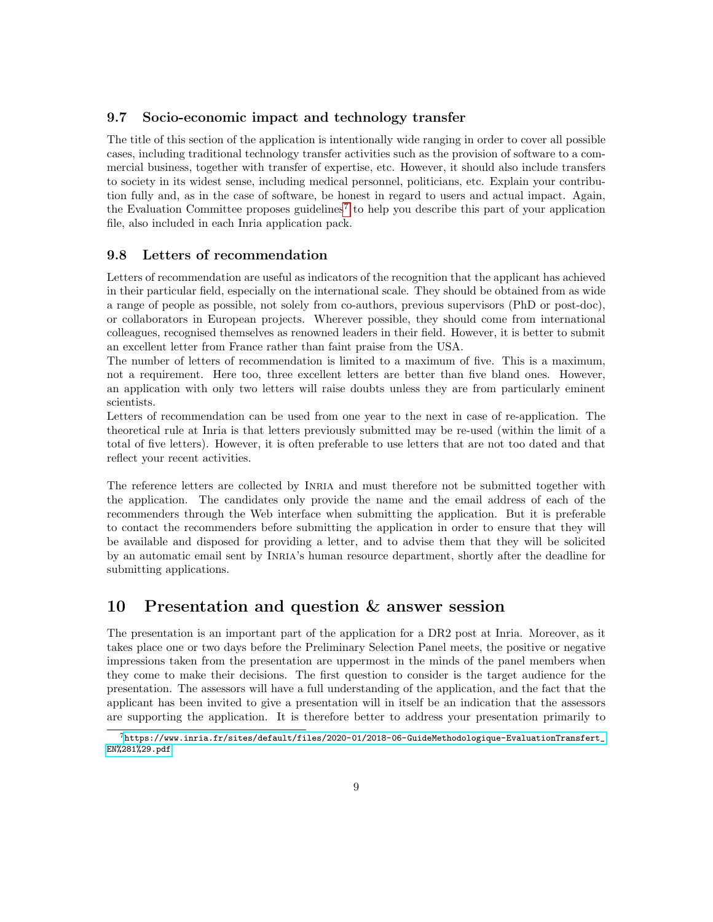#### 9.7 Socio-economic impact and technology transfer

The title of this section of the application is intentionally wide ranging in order to cover all possible cases, including traditional technology transfer activities such as the provision of software to a commercial business, together with transfer of expertise, etc. However, it should also include transfers to society in its widest sense, including medical personnel, politicians, etc. Explain your contribution fully and, as in the case of software, be honest in regard to users and actual impact. Again, the Evaluation Committee proposes guidelines<sup>[7](#page-8-0)</sup> to help you describe this part of your application file, also included in each Inria application pack.

#### 9.8 Letters of recommendation

Letters of recommendation are useful as indicators of the recognition that the applicant has achieved in their particular field, especially on the international scale. They should be obtained from as wide a range of people as possible, not solely from co-authors, previous supervisors (PhD or post-doc), or collaborators in European projects. Wherever possible, they should come from international colleagues, recognised themselves as renowned leaders in their field. However, it is better to submit an excellent letter from France rather than faint praise from the USA.

The number of letters of recommendation is limited to a maximum of five. This is a maximum, not a requirement. Here too, three excellent letters are better than five bland ones. However, an application with only two letters will raise doubts unless they are from particularly eminent scientists.

Letters of recommendation can be used from one year to the next in case of re-application. The theoretical rule at Inria is that letters previously submitted may be re-used (within the limit of a total of five letters). However, it is often preferable to use letters that are not too dated and that reflect your recent activities.

The reference letters are collected by Inria and must therefore not be submitted together with the application. The candidates only provide the name and the email address of each of the recommenders through the Web interface when submitting the application. But it is preferable to contact the recommenders before submitting the application in order to ensure that they will be available and disposed for providing a letter, and to advise them that they will be solicited by an automatic email sent by Inria's human resource department, shortly after the deadline for submitting applications.

### 10 Presentation and question & answer session

The presentation is an important part of the application for a DR2 post at Inria. Moreover, as it takes place one or two days before the Preliminary Selection Panel meets, the positive or negative impressions taken from the presentation are uppermost in the minds of the panel members when they come to make their decisions. The first question to consider is the target audience for the presentation. The assessors will have a full understanding of the application, and the fact that the applicant has been invited to give a presentation will in itself be an indication that the assessors are supporting the application. It is therefore better to address your presentation primarily to

<span id="page-8-0"></span><sup>7</sup>[https://www.inria.fr/sites/default/files/2020-01/2018-06-GuideMethodologique-EvaluationTransfert\\_](https://www.inria.fr/sites/default/files/2020-01/2018-06-GuideMethodologique-EvaluationTransfert_EN%281%29.pdf) [EN%281%29.pdf](https://www.inria.fr/sites/default/files/2020-01/2018-06-GuideMethodologique-EvaluationTransfert_EN%281%29.pdf)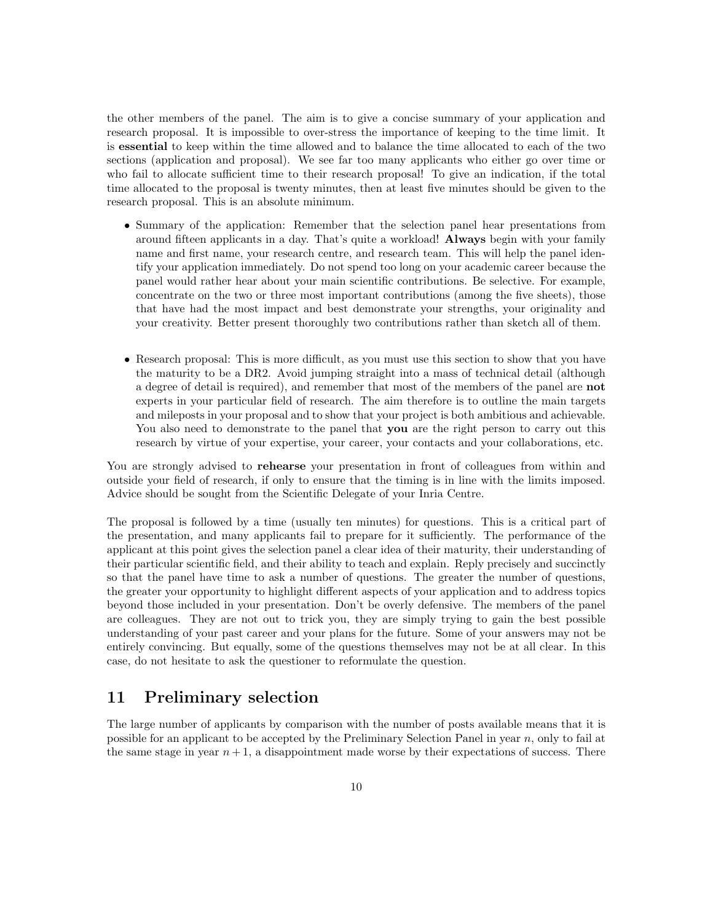the other members of the panel. The aim is to give a concise summary of your application and research proposal. It is impossible to over-stress the importance of keeping to the time limit. It is essential to keep within the time allowed and to balance the time allocated to each of the two sections (application and proposal). We see far too many applicants who either go over time or who fail to allocate sufficient time to their research proposal! To give an indication, if the total time allocated to the proposal is twenty minutes, then at least five minutes should be given to the research proposal. This is an absolute minimum.

- Summary of the application: Remember that the selection panel hear presentations from around fifteen applicants in a day. That's quite a workload! Always begin with your family name and first name, your research centre, and research team. This will help the panel identify your application immediately. Do not spend too long on your academic career because the panel would rather hear about your main scientific contributions. Be selective. For example, concentrate on the two or three most important contributions (among the five sheets), those that have had the most impact and best demonstrate your strengths, your originality and your creativity. Better present thoroughly two contributions rather than sketch all of them.
- Research proposal: This is more difficult, as you must use this section to show that you have the maturity to be a DR2. Avoid jumping straight into a mass of technical detail (although a degree of detail is required), and remember that most of the members of the panel are not experts in your particular field of research. The aim therefore is to outline the main targets and mileposts in your proposal and to show that your project is both ambitious and achievable. You also need to demonstrate to the panel that you are the right person to carry out this research by virtue of your expertise, your career, your contacts and your collaborations, etc.

You are strongly advised to rehearse your presentation in front of colleagues from within and outside your field of research, if only to ensure that the timing is in line with the limits imposed. Advice should be sought from the Scientific Delegate of your Inria Centre.

The proposal is followed by a time (usually ten minutes) for questions. This is a critical part of the presentation, and many applicants fail to prepare for it sufficiently. The performance of the applicant at this point gives the selection panel a clear idea of their maturity, their understanding of their particular scientific field, and their ability to teach and explain. Reply precisely and succinctly so that the panel have time to ask a number of questions. The greater the number of questions, the greater your opportunity to highlight different aspects of your application and to address topics beyond those included in your presentation. Don't be overly defensive. The members of the panel are colleagues. They are not out to trick you, they are simply trying to gain the best possible understanding of your past career and your plans for the future. Some of your answers may not be entirely convincing. But equally, some of the questions themselves may not be at all clear. In this case, do not hesitate to ask the questioner to reformulate the question.

### 11 Preliminary selection

The large number of applicants by comparison with the number of posts available means that it is possible for an applicant to be accepted by the Preliminary Selection Panel in year  $n$ , only to fail at the same stage in year  $n+1$ , a disappointment made worse by their expectations of success. There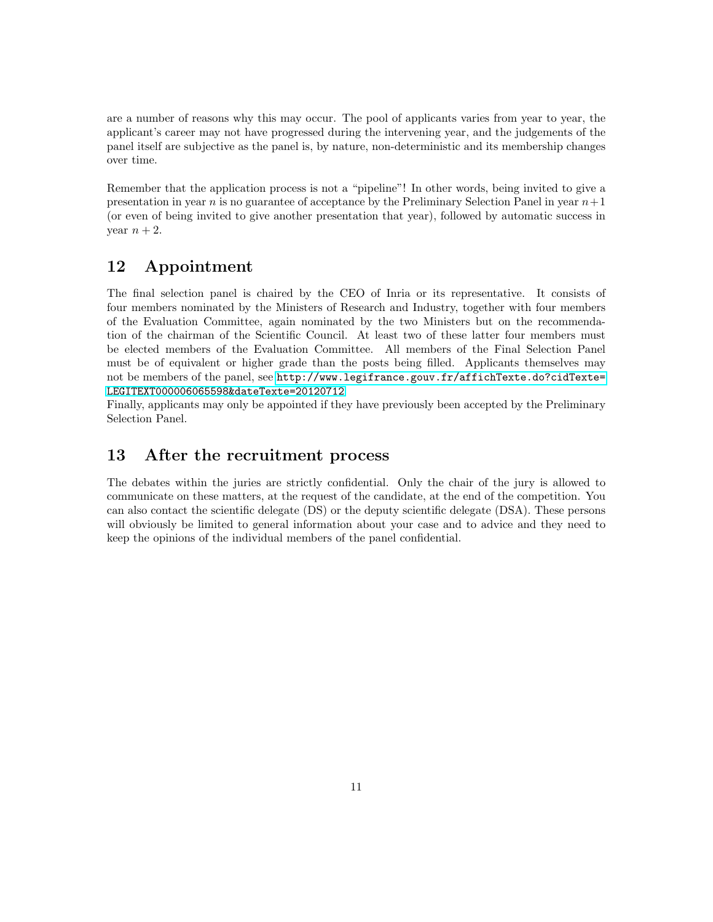are a number of reasons why this may occur. The pool of applicants varies from year to year, the applicant's career may not have progressed during the intervening year, and the judgements of the panel itself are subjective as the panel is, by nature, non-deterministic and its membership changes over time.

Remember that the application process is not a "pipeline"! In other words, being invited to give a presentation in year n is no guarantee of acceptance by the Preliminary Selection Panel in year  $n+1$ (or even of being invited to give another presentation that year), followed by automatic success in year  $n+2$ .

### 12 Appointment

The final selection panel is chaired by the CEO of Inria or its representative. It consists of four members nominated by the Ministers of Research and Industry, together with four members of the Evaluation Committee, again nominated by the two Ministers but on the recommendation of the chairman of the Scientific Council. At least two of these latter four members must be elected members of the Evaluation Committee. All members of the Final Selection Panel must be of equivalent or higher grade than the posts being filled. Applicants themselves may not be members of the panel, see [http://www.legifrance.gouv.fr/affichTexte.do?cidTexte=](http://www. legifrance.gouv.fr/affichTexte.do?cidTexte=LEGITEXT000006065598&dateTexte=20120712) [LEGITEXT000006065598&dateTexte=20120712](http://www. legifrance.gouv.fr/affichTexte.do?cidTexte=LEGITEXT000006065598&dateTexte=20120712)

Finally, applicants may only be appointed if they have previously been accepted by the Preliminary Selection Panel.

# 13 After the recruitment process

The debates within the juries are strictly confidential. Only the chair of the jury is allowed to communicate on these matters, at the request of the candidate, at the end of the competition. You can also contact the scientific delegate (DS) or the deputy scientific delegate (DSA). These persons will obviously be limited to general information about your case and to advice and they need to keep the opinions of the individual members of the panel confidential.